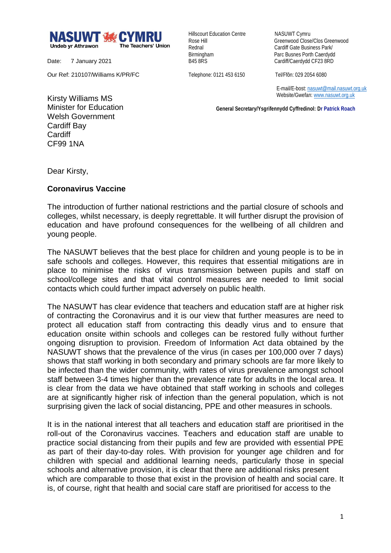

Date: 7 January 2021

Our Ref: 210107/Williams K/PR/FC

Hillscourt Education Centre NASUWT Cymru

Rose Hill Greenwood Close/Clos Greenwood Rednal **Cardiff Gate Business Park/** Birmingham Parc Busnes Porth Caerdydd<br>
B45 8RS<br>
Cardiff/Caerdydd CF23 8RD Cardiff/Caerdydd CF23 8RD

Telephone: 0121 453 6150 Tel/Ffôn: 029 2054 6080

 E-mail/E-bost[: nasuwt@mail.nasuwt.org.uk](mailto:nasuwt@mail.nasuwt.org.uk) Website/Gwefan: [www.nasuwt.org.uk](http://www.nasuwt.org.uk/)

 **General Secretary/Ysgrifennydd Cyffredinol: Dr Patrick Roach**

Kirsty Williams MS Minister for Education Welsh Government Cardiff Bay Cardiff CF99 1NA

Dear Kirsty,

## **Coronavirus Vaccine**

The introduction of further national restrictions and the partial closure of schools and colleges, whilst necessary, is deeply regrettable. It will further disrupt the provision of education and have profound consequences for the wellbeing of all children and young people.

The NASUWT believes that the best place for children and young people is to be in safe schools and colleges. However, this requires that essential mitigations are in place to minimise the risks of virus transmission between pupils and staff on school/college sites and that vital control measures are needed to limit social contacts which could further impact adversely on public health.

The NASUWT has clear evidence that teachers and education staff are at higher risk of contracting the Coronavirus and it is our view that further measures are need to protect all education staff from contracting this deadly virus and to ensure that education onsite within schools and colleges can be restored fully without further ongoing disruption to provision. Freedom of Information Act data obtained by the NASUWT shows that the prevalence of the virus (in cases per 100,000 over 7 days) shows that staff working in both secondary and primary schools are far more likely to be infected than the wider community, with rates of virus prevalence amongst school staff between 3-4 times higher than the prevalence rate for adults in the local area. It is clear from the data we have obtained that staff working in schools and colleges are at significantly higher risk of infection than the general population, which is not surprising given the lack of social distancing, PPE and other measures in schools.

It is in the national interest that all teachers and education staff are prioritised in the roll-out of the Coronavirus vaccines. Teachers and education staff are unable to practice social distancing from their pupils and few are provided with essential PPE as part of their day-to-day roles. With provision for younger age children and for children with special and additional learning needs, particularly those in special schools and alternative provision, it is clear that there are additional risks present which are comparable to those that exist in the provision of health and social care. It is, of course, right that health and social care staff are prioritised for access to the